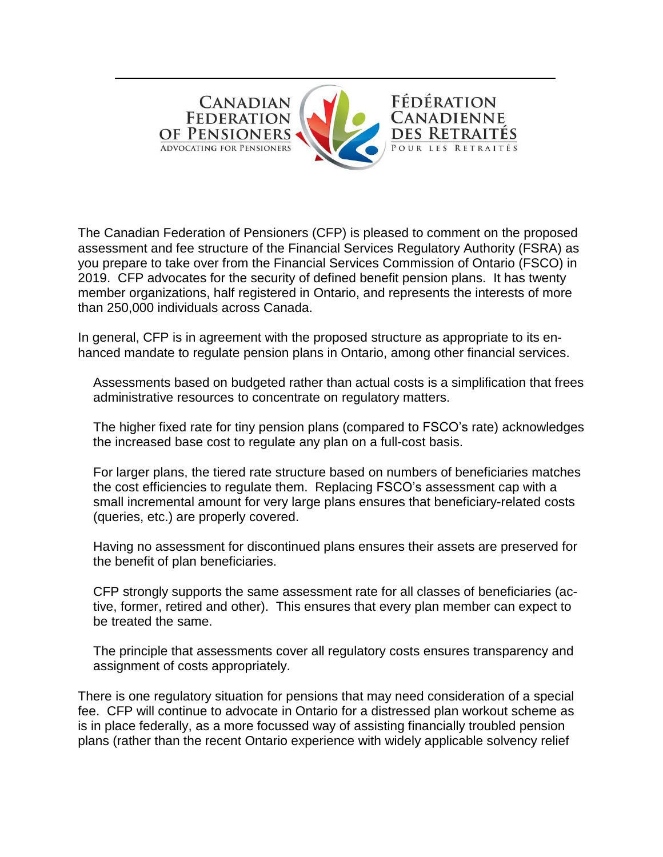

The Canadian Federation of Pensioners (CFP) is pleased to comment on the proposed assessment and fee structure of the Financial Services Regulatory Authority (FSRA) as you prepare to take over from the Financial Services Commission of Ontario (FSCO) in 2019. CFP advocates for the security of defined benefit pension plans. It has twenty member organizations, half registered in Ontario, and represents the interests of more than 250,000 individuals across Canada.

In general, CFP is in agreement with the proposed structure as appropriate to its enhanced mandate to regulate pension plans in Ontario, among other financial services.

Assessments based on budgeted rather than actual costs is a simplification that frees administrative resources to concentrate on regulatory matters.

The higher fixed rate for tiny pension plans (compared to FSCO's rate) acknowledges the increased base cost to regulate any plan on a full-cost basis.

For larger plans, the tiered rate structure based on numbers of beneficiaries matches the cost efficiencies to regulate them. Replacing FSCO's assessment cap with a small incremental amount for very large plans ensures that beneficiary-related costs (queries, etc.) are properly covered.

Having no assessment for discontinued plans ensures their assets are preserved for the benefit of plan beneficiaries.

CFP strongly supports the same assessment rate for all classes of beneficiaries (active, former, retired and other). This ensures that every plan member can expect to be treated the same.

The principle that assessments cover all regulatory costs ensures transparency and assignment of costs appropriately.

There is one regulatory situation for pensions that may need consideration of a special fee. CFP will continue to advocate in Ontario for a distressed plan workout scheme as is in place federally, as a more focussed way of assisting financially troubled pension plans (rather than the recent Ontario experience with widely applicable solvency relief